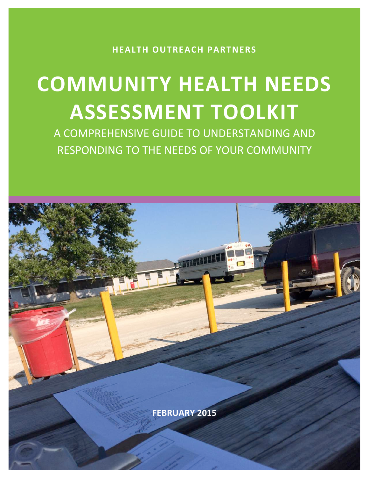**HEALTH OUTREACH PARTNERS**

# **COMMUNITY HEALTH NEEDS ASSESSMENT TOOLKIT**

A COMPREHENSIVE GUIDE TO UNDERSTANDING AND RESPONDING TO THE NEEDS OF YOUR COMMUNITY

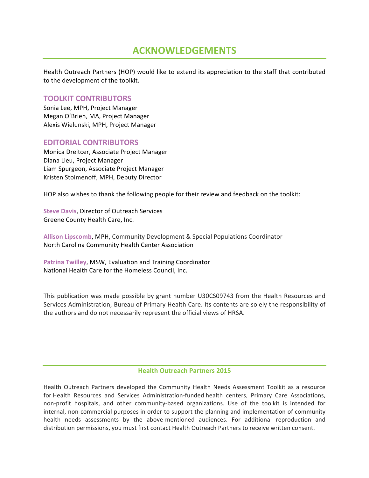# **ACKNOWLEDGEMENTS**

Health Outreach Partners (HOP) would like to extend its appreciation to the staff that contributed to the development of the toolkit.

## **TOOLKIT CONTRIBUTORS**

Sonia Lee, MPH, Project Manager Megan O'Brien, MA, Project Manager Alexis Wielunski, MPH, Project Manager

### **EDITORIAL CONTRIBUTORS**

Monica Dreitcer, Associate Project Manager Diana Lieu, Project Manager Liam Spurgeon, Associate Project Manager Kristen Stoimenoff, MPH, Deputy Director

HOP also wishes to thank the following people for their review and feedback on the toolkit:

**Steve Davis, Director of Outreach Services** Greene County Health Care, Inc.

Allison Lipscomb, MPH, Community Development & Special Populations Coordinator North Carolina Community Health Center Association

Patrina Twilley, MSW, Evaluation and Training Coordinator National Health Care for the Homeless Council, Inc.

This publication was made possible by grant number U30CS09743 from the Health Resources and Services Administration, Bureau of Primary Health Care. Its contents are solely the responsibility of the authors and do not necessarily represent the official views of HRSA.

#### **Health Outreach Partners 2015**

Health Outreach Partners developed the Community Health Needs Assessment Toolkit as a resource for Health Resources and Services Administration-funded health centers, Primary Care Associations, non-profit hospitals, and other community-based organizations. Use of the toolkit is intended for internal, non-commercial purposes in order to support the planning and implementation of community health needs assessments by the above-mentioned audiences. For additional reproduction and distribution permissions, you must first contact Health Outreach Partners to receive written consent.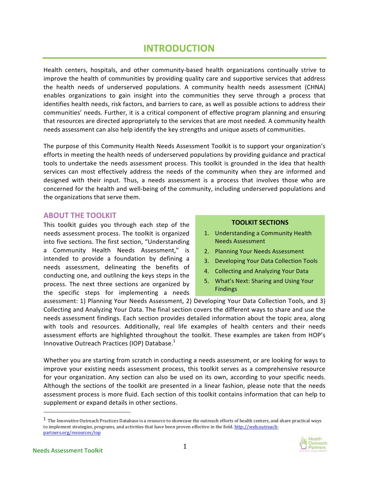# **INTRODUCTION**

Health centers, hospitals, and other community-based health organizations continually strive to improve the health of communities by providing quality care and supportive services that address the health needs of underserved populations. A community health needs assessment (CHNA) enables organizations to gain insight into the communities they serve through a process that identifies health needs, risk factors, and barriers to care, as well as possible actions to address their communities' needs. Further, it is a critical component of effective program planning and ensuring that resources are directed appropriately to the services that are most needed. A community health needs assessment can also help identify the key strengths and unique assets of communities.

The purpose of this Community Health Needs Assessment Toolkit is to support your organization's efforts in meeting the health needs of underserved populations by providing guidance and practical tools to undertake the needs assessment process. This toolkit is grounded in the idea that health services can most effectively address the needs of the community when they are informed and designed with their input. Thus, a needs assessment is a process that involves those who are concerned for the health and well-being of the community, including underserved populations and the organizations that serve them.

## **ABOUT THE TOOLKIT**

This toolkit guides you through each step of the needs assessment process. The toolkit is organized into five sections. The first section, "Understanding a Community Health Needs Assessment," is intended to provide a foundation by defining a needs assessment, delineating the benefits of conducting one, and outlining the keys steps in the process. The next three sections are organized by the specific steps for implementing a needs

#### **TOOLKIT SECTIONS**

- 1. Understanding a Community Health Needs Assessment
- 2. Planning Your Needs Assessment
- 3. Developing Your Data Collection Tools
- 4. Collecting and Analyzing Your Data
- 5. What's Next: Sharing and Using Your Findings

assessment: 1) Planning Your Needs Assessment, 2) Developing Your Data Collection Tools, and 3) Collecting and Analyzing Your Data. The final section covers the different ways to share and use the needs assessment findings. Each section provides detailed information about the topic area, along with tools and resources. Additionally, real life examples of health centers and their needs assessment efforts are highlighted throughout the toolkit. These examples are taken from HOP's Innovative Outreach Practices (IOP) Database.<sup>1</sup>

Whether you are starting from scratch in conducting a needs assessment, or are looking for ways to improve your existing needs assessment process, this toolkit serves as a comprehensive resource for your organization. Any section can also be used on its own, according to your specific needs. Although the sections of the toolkit are presented in a linear fashion, please note that the needs assessment process is more fluid. Each section of this toolkit contains information that can help to supplement or expand details in other sections.

 $<sup>1</sup>$  The Innovative Outreach Practices Database is a resource to showcase the outreach efforts of health centers, and share practical ways</sup> to implement strategies, programs, and activities that have been proven effective in the field. http://web.outreachpartners.org/resources/iop